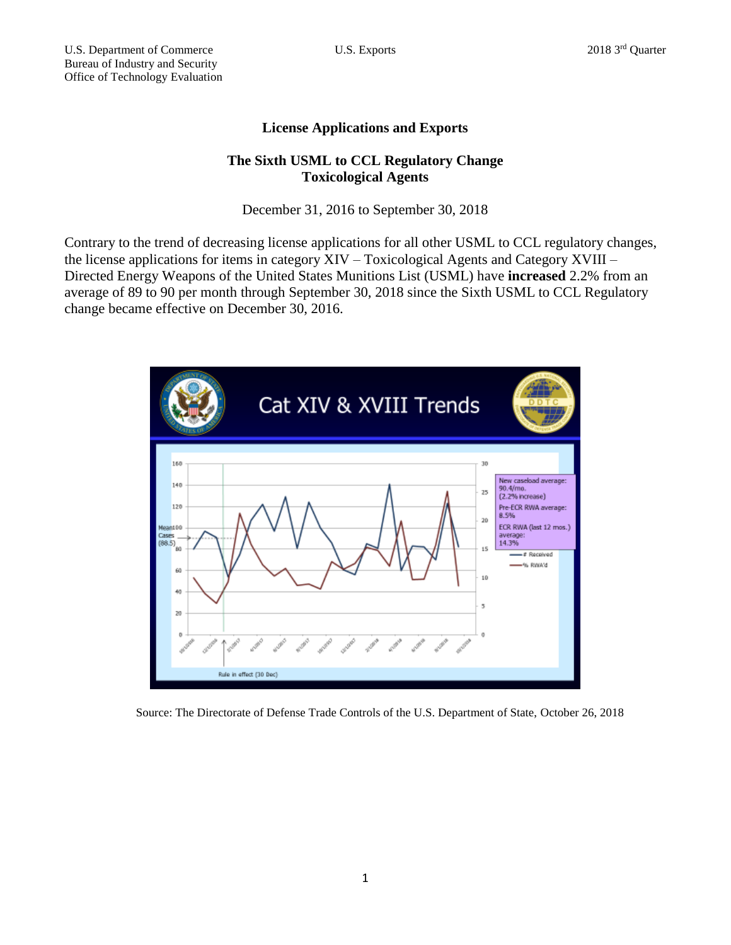## **License Applications and Exports**

## **The Sixth USML to CCL Regulatory Change Toxicological Agents**

December 31, 2016 to September 30, 2018

Contrary to the trend of decreasing license applications for all other USML to CCL regulatory changes, the license applications for items in category XIV – Toxicological Agents and Category XVIII – Directed Energy Weapons of the United States Munitions List (USML) have **increased** 2.2% from an average of 89 to 90 per month through September 30, 2018 since the Sixth USML to CCL Regulatory change became effective on December 30, 2016.



Source: The Directorate of Defense Trade Controls of the U.S. Department of State, October 26, 2018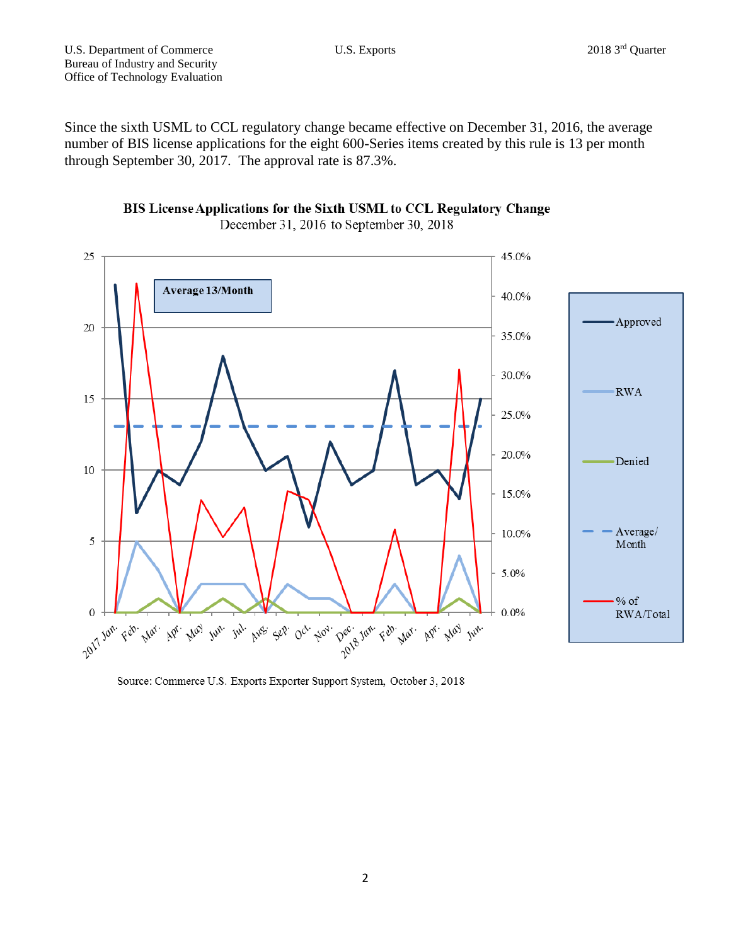Since the sixth USML to CCL regulatory change became effective on December 31, 2016, the average number of BIS license applications for the eight 600-Series items created by this rule is 13 per month through September 30, 2017. The approval rate is 87.3%.





Source: Commerce U.S. Exports Exporter Support System, October 3, 2018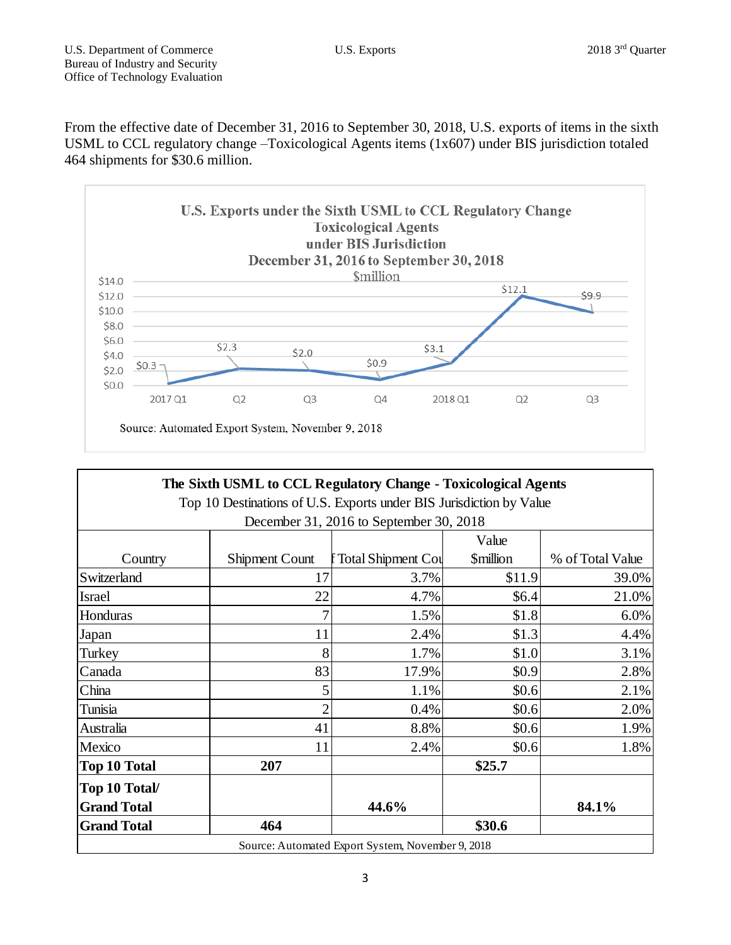From the effective date of December 31, 2016 to September 30, 2018, U.S. exports of items in the sixth USML to CCL regulatory change –Toxicological Agents items (1x607) under BIS jurisdiction totaled 464 shipments for \$30.6 million.



| The Sixth USML to CCL Regulatory Change - Toxicological Agents      |                       |                      |                               |                  |
|---------------------------------------------------------------------|-----------------------|----------------------|-------------------------------|------------------|
| Top 10 Destinations of U.S. Exports under BIS Jurisdiction by Value |                       |                      |                               |                  |
| December 31, 2016 to September 30, 2018                             |                       |                      |                               |                  |
|                                                                     |                       |                      | Value                         |                  |
| Country                                                             | <b>Shipment Count</b> | f Total Shipment Cou | <b><i><u>Smillion</u></i></b> | % of Total Value |
| Switzerland                                                         | 17                    | 3.7%                 | \$11.9                        | 39.0%            |
| <b>Israel</b>                                                       | 22                    | 4.7%                 | \$6.4                         | 21.0%            |
| Honduras                                                            | 7                     | 1.5%                 | \$1.8                         | 6.0%             |
| Japan                                                               | 11                    | 2.4%                 | \$1.3                         | 4.4%             |
| Turkey                                                              | 8                     | 1.7%                 | \$1.0                         | 3.1%             |
| Canada                                                              | 83                    | 17.9%                | \$0.9                         | 2.8%             |
| China                                                               | 5                     | 1.1%                 | \$0.6                         | 2.1%             |
| Tunisia                                                             | $\overline{2}$        | 0.4%                 | \$0.6                         | 2.0%             |
| Australia                                                           | 41                    | 8.8%                 | \$0.6                         | 1.9%             |
| Mexico                                                              | 11                    | 2.4%                 | \$0.6                         | 1.8%             |
| <b>Top 10 Total</b>                                                 | 207                   |                      | \$25.7                        |                  |
| Top 10 Total/                                                       |                       |                      |                               |                  |
| <b>Grand Total</b>                                                  |                       | 44.6%                |                               | 84.1%            |
| <b>Grand Total</b>                                                  | 464                   |                      | \$30.6                        |                  |
| Source: Automated Export System, November 9, 2018                   |                       |                      |                               |                  |